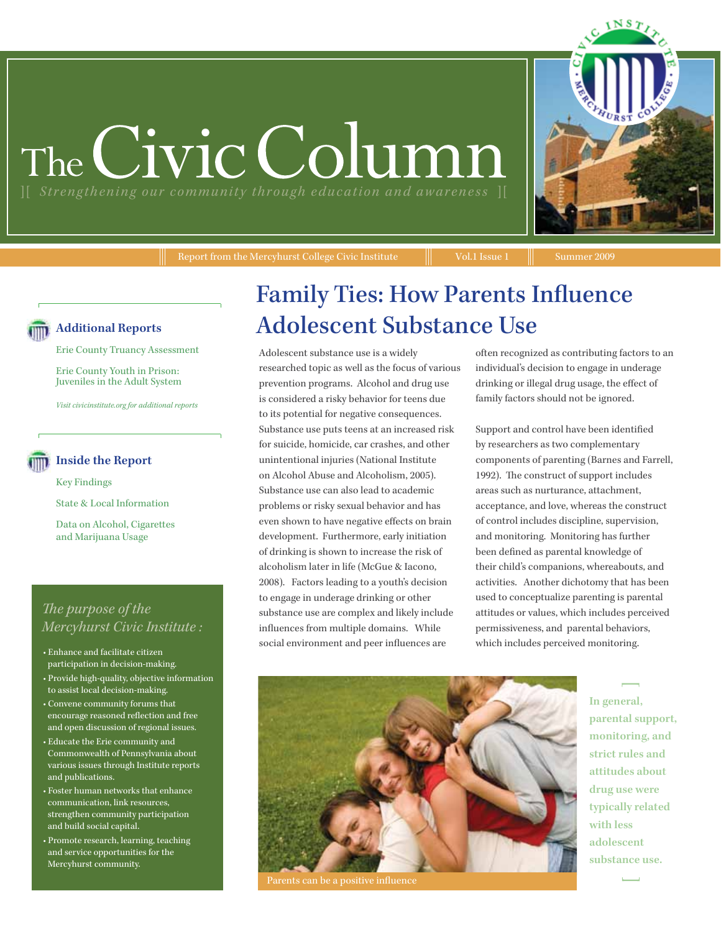# The Civic Colum





#### **Additional Reports**

Erie County Truancy Assessment

Erie County Youth in Prison: Juveniles in the Adult System

*Visit civicinstitute.org for additional reports*

#### **Inside the Report**

Key Findings

State & Local Information

Data on Alcohol, Cigarettes and Marijuana Usage

#### *The purpose of the Mercyhurst Civic Institute :*

- Enhance and facilitate citizen participation in decision-making.
- Provide high-quality, objective information to assist local decision-making.
- Convene community forums that encourage reasoned reflection and free and open discussion of regional issues.
- Educate the Erie community and Commonwealth of Pennsylvania about various issues through Institute reports and publications.
- Foster human networks that enhance communication, link resources, strengthen community participation and build social capital.
- Promote research, learning, teaching and service opportunities for the Mercyhurst community.

## Family Ties: How Parents Influence Adolescent Substance Use

Adolescent substance use is a widely researched topic as well as the focus of various prevention programs. Alcohol and drug use is considered a risky behavior for teens due to its potential for negative consequences. Substance use puts teens at an increased risk for suicide, homicide, car crashes, and other unintentional injuries (National Institute on Alcohol Abuse and Alcoholism, 2005). Substance use can also lead to academic problems or risky sexual behavior and has even shown to have negative effects on brain development. Furthermore, early initiation of drinking is shown to increase the risk of alcoholism later in life (McGue & Iacono, 2008). Factors leading to a youth's decision to engage in underage drinking or other substance use are complex and likely include influences from multiple domains. While social environment and peer influences are

often recognized as contributing factors to an individual's decision to engage in underage drinking or illegal drug usage, the effect of family factors should not be ignored.

Support and control have been identified by researchers as two complementary components of parenting (Barnes and Farrell, 1992). The construct of support includes areas such as nurturance, attachment, acceptance, and love, whereas the construct of control includes discipline, supervision, and monitoring. Monitoring has further been defined as parental knowledge of their child's companions, whereabouts, and activities. Another dichotomy that has been used to conceptualize parenting is parental attitudes or values, which includes perceived permissiveness, and parental behaviors, which includes perceived monitoring.



Parents can be a positive influence

**In general, parental support, monitoring, and strict rules and attitudes about drug use were typically related with less adolescent substance use.**

—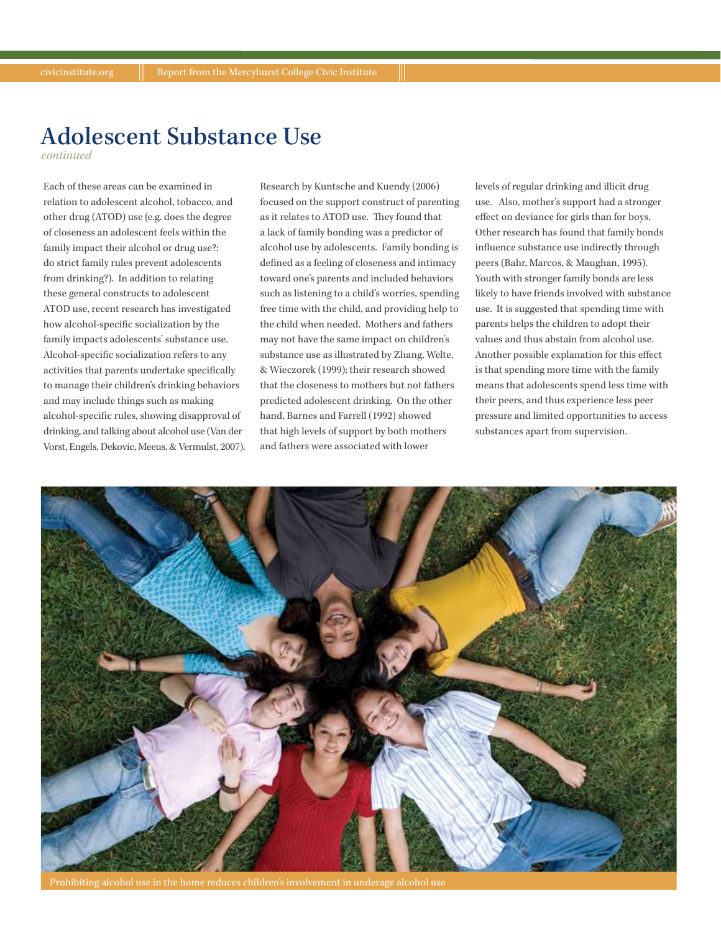## Adolescent Substance Use

*continued*

Each of these areas can be examined in relation to adolescent alcohol, tobacco, and other drug (ATOD) use (e.g. does the degree of closeness an adolescent feels within the family impact their alcohol or drug use?; do strict family rules prevent adolescents from drinking?). In addition to relating these general constructs to adolescent ATOD use, recent research has investigated how alcohol-specific socialization by the family impacts adolescents' substance use. Alcohol-specific socialization refers to any activities that parents undertake specifically to manage their children's drinking behaviors and may include things such as making alcohol-specific rules, showing disapproval of drinking, and talking about alcohol use (Van der Vorst, Engels, Dekovic, Meeus, & Vermulst, 2007). Research by Kuntsche and Kuendy (2006) focused on the support construct of parenting as it relates to ATOD use. They found that a lack of family bonding was a predictor of alcohol use by adolescents. Family bonding is defined as a feeling of closeness and intimacy toward one's parents and included behaviors such as listening to a child's worries, spending free time with the child, and providing help to the child when needed. Mothers and fathers may not have the same impact on children's substance use as illustrated by Zhang, Welte, & Wieczorek (1999); their research showed that the closeness to mothers but not fathers predicted adolescent drinking. On the other hand, Barnes and Farrell (1992) showed that high levels of support by both mothers and fathers were associated with lower

levels of regular drinking and illicit drug use. Also, mother's support had a stronger effect on deviance for girls than for boys. Other research has found that family bonds influence substance use indirectly through peers (Bahr, Marcos, & Maughan, 1995). Youth with stronger family bonds are less likely to have friends involved with substance use. It is suggested that spending time with parents helps the children to adopt their values and thus abstain from alcohol use. Another possible explanation for this effect is that spending more time with the family means that adolescents spend less time with their peers, and thus experience less peer pressure and limited opportunities to access substances apart from supervision.



Prohibiting alcohol use in the home reduces children's involvement in underage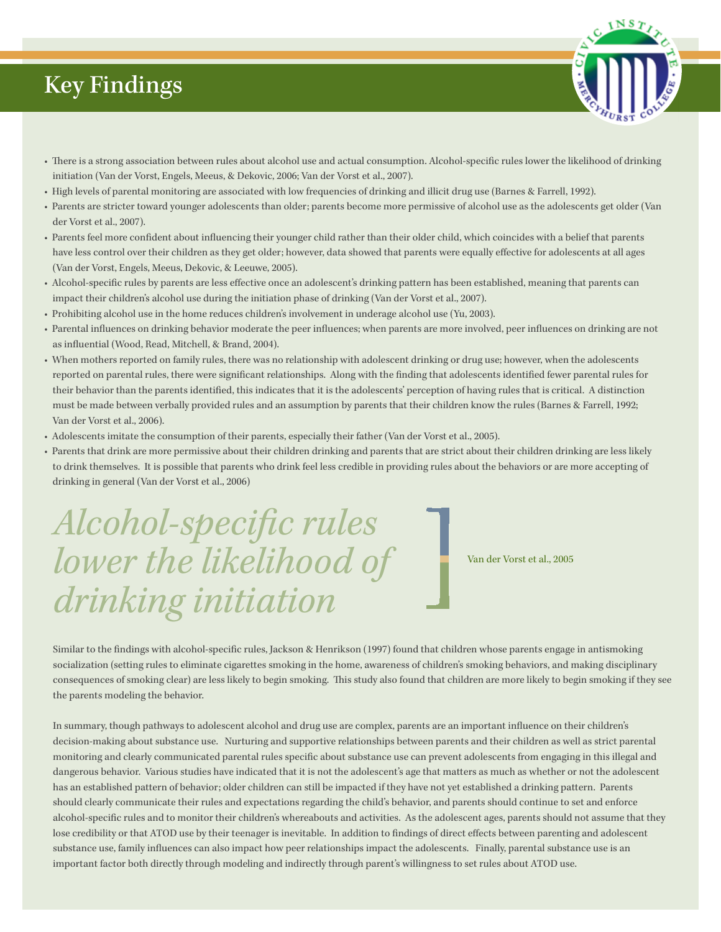## Key Findings

- There is a strong association between rules about alcohol use and actual consumption. Alcohol-specific rules lower the likelihood of drinking initiation (Van der Vorst, Engels, Meeus, & Dekovic, 2006; Van der Vorst et al., 2007).
- High levels of parental monitoring are associated with low frequencies of drinking and illicit drug use (Barnes & Farrell, 1992).
- Parents are stricter toward younger adolescents than older; parents become more permissive of alcohol use as the adolescents get older (Van der Vorst et al., 2007).
- Parents feel more confident about influencing their younger child rather than their older child, which coincides with a belief that parents have less control over their children as they get older; however, data showed that parents were equally effective for adolescents at all ages (Van der Vorst, Engels, Meeus, Dekovic, & Leeuwe, 2005).
- Alcohol-specific rules by parents are less effective once an adolescent's drinking pattern has been established, meaning that parents can impact their children's alcohol use during the initiation phase of drinking (Van der Vorst et al., 2007).
- Prohibiting alcohol use in the home reduces children's involvement in underage alcohol use (Yu, 2003).
- Parental influences on drinking behavior moderate the peer influences; when parents are more involved, peer influences on drinking are not as influential (Wood, Read, Mitchell, & Brand, 2004).
- When mothers reported on family rules, there was no relationship with adolescent drinking or drug use; however, when the adolescents reported on parental rules, there were significant relationships. Along with the finding that adolescents identified fewer parental rules for their behavior than the parents identified, this indicates that it is the adolescents' perception of having rules that is critical. A distinction must be made between verbally provided rules and an assumption by parents that their children know the rules (Barnes & Farrell, 1992; Van der Vorst et al., 2006).
- Adolescents imitate the consumption of their parents, especially their father (Van der Vorst et al., 2005).
- Parents that drink are more permissive about their children drinking and parents that are strict about their children drinking are less likely to drink themselves. It is possible that parents who drink feel less credible in providing rules about the behaviors or are more accepting of drinking in general (Van der Vorst et al., 2006)

## *Alcohol-specific rules lower the likelihood of drinking initiation*

Van der Vorst et al., 2005

Similar to the findings with alcohol-specific rules, Jackson & Henrikson (1997) found that children whose parents engage in antismoking socialization (setting rules to eliminate cigarettes smoking in the home, awareness of children's smoking behaviors, and making disciplinary consequences of smoking clear) are less likely to begin smoking. This study also found that children are more likely to begin smoking if they see the parents modeling the behavior.

In summary, though pathways to adolescent alcohol and drug use are complex, parents are an important influence on their children's decision-making about substance use. Nurturing and supportive relationships between parents and their children as well as strict parental monitoring and clearly communicated parental rules specific about substance use can prevent adolescents from engaging in this illegal and dangerous behavior. Various studies have indicated that it is not the adolescent's age that matters as much as whether or not the adolescent has an established pattern of behavior; older children can still be impacted if they have not yet established a drinking pattern. Parents should clearly communicate their rules and expectations regarding the child's behavior, and parents should continue to set and enforce alcohol-specific rules and to monitor their children's whereabouts and activities. As the adolescent ages, parents should not assume that they lose credibility or that ATOD use by their teenager is inevitable. In addition to findings of direct effects between parenting and adolescent substance use, family influences can also impact how peer relationships impact the adolescents. Finally, parental substance use is an important factor both directly through modeling and indirectly through parent's willingness to set rules about ATOD use.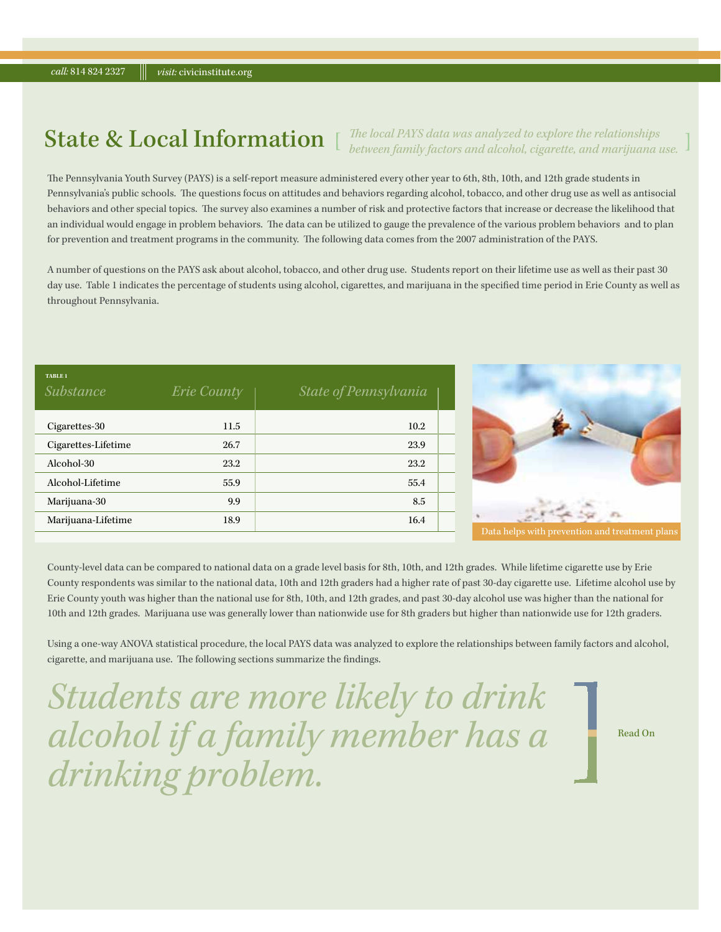### State & Local Information

*The local PAYS data was analyzed to explore the relationships between family factors and alcohol, cigarette, and marijuana use.*

The Pennsylvania Youth Survey (PAYS) is a self-report measure administered every other year to 6th, 8th, 10th, and 12th grade students in Pennsylvania's public schools. The questions focus on attitudes and behaviors regarding alcohol, tobacco, and other drug use as well as antisocial behaviors and other special topics. The survey also examines a number of risk and protective factors that increase or decrease the likelihood that an individual would engage in problem behaviors. The data can be utilized to gauge the prevalence of the various problem behaviors and to plan for prevention and treatment programs in the community. The following data comes from the 2007 administration of the PAYS.

A number of questions on the PAYS ask about alcohol, tobacco, and other drug use. Students report on their lifetime use as well as their past 30 day use. Table 1 indicates the percentage of students using alcohol, cigarettes, and marijuana in the specified time period in Erie County as well as throughout Pennsylvania.

| <b>TABLE 1</b><br><i>Substance</i> | <b>Erie County</b> | State of Pennsylvania |  |
|------------------------------------|--------------------|-----------------------|--|
| Cigarettes-30                      | 11.5               | 10.2                  |  |
| Cigarettes-Lifetime                | 26.7               | 23.9                  |  |
| Alcohol-30                         | 23.2               | 23.2                  |  |
| Alcohol-Lifetime                   | 55.9               | 55.4                  |  |
| Marijuana-30                       | 9.9                | 8.5                   |  |
| Marijuana-Lifetime                 | 18.9               | 16.4                  |  |
|                                    |                    |                       |  |



County-level data can be compared to national data on a grade level basis for 8th, 10th, and 12th grades. While lifetime cigarette use by Erie County respondents was similar to the national data, 10th and 12th graders had a higher rate of past 30-day cigarette use. Lifetime alcohol use by Erie County youth was higher than the national use for 8th, 10th, and 12th grades, and past 30-day alcohol use was higher than the national for 10th and 12th grades. Marijuana use was generally lower than nationwide use for 8th graders but higher than nationwide use for 12th graders.

Using a one-way ANOVA statistical procedure, the local PAYS data was analyzed to explore the relationships between family factors and alcohol, cigarette, and marijuana use. The following sections summarize the findings.

*Students are more likely to drink alcohol if a family member has a drinking problem.*

Read On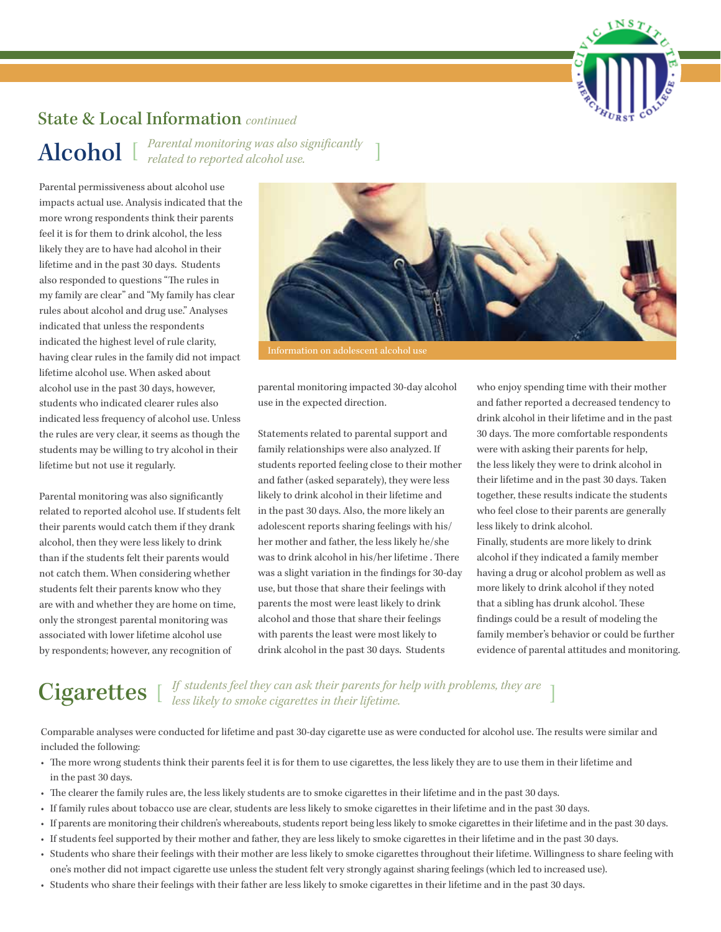

#### State & Local Information *continued*

*Parental monitoring was also significantly related to reported alcohol use.*  Alcohol

Parental permissiveness about alcohol use impacts actual use. Analysis indicated that the more wrong respondents think their parents feel it is for them to drink alcohol, the less likely they are to have had alcohol in their lifetime and in the past 30 days. Students also responded to questions "The rules in my family are clear" and "My family has clear rules about alcohol and drug use." Analyses indicated that unless the respondents indicated the highest level of rule clarity, having clear rules in the family did not impact lifetime alcohol use. When asked about alcohol use in the past 30 days, however, students who indicated clearer rules also indicated less frequency of alcohol use. Unless the rules are very clear, it seems as though the students may be willing to try alcohol in their lifetime but not use it regularly.

Parental monitoring was also significantly related to reported alcohol use. If students felt their parents would catch them if they drank alcohol, then they were less likely to drink than if the students felt their parents would not catch them. When considering whether students felt their parents know who they are with and whether they are home on time, only the strongest parental monitoring was associated with lower lifetime alcohol use by respondents; however, any recognition of



Information on adolescent alcohol use

parental monitoring impacted 30-day alcohol use in the expected direction.

Statements related to parental support and family relationships were also analyzed. If students reported feeling close to their mother and father (asked separately), they were less likely to drink alcohol in their lifetime and in the past 30 days. Also, the more likely an adolescent reports sharing feelings with his/ her mother and father, the less likely he/she was to drink alcohol in his/her lifetime . There was a slight variation in the findings for 30-day use, but those that share their feelings with parents the most were least likely to drink alcohol and those that share their feelings with parents the least were most likely to drink alcohol in the past 30 days. Students

who enjoy spending time with their mother and father reported a decreased tendency to drink alcohol in their lifetime and in the past 30 days. The more comfortable respondents were with asking their parents for help, the less likely they were to drink alcohol in their lifetime and in the past 30 days. Taken together, these results indicate the students who feel close to their parents are generally less likely to drink alcohol.

Finally, students are more likely to drink alcohol if they indicated a family member having a drug or alcohol problem as well as more likely to drink alcohol if they noted that a sibling has drunk alcohol. These findings could be a result of modeling the family member's behavior or could be further evidence of parental attitudes and monitoring.

## Cigarettes  $\int_{\text{less likely to smoke eigentets in their picture.}}$

Comparable analyses were conducted for lifetime and past 30-day cigarette use as were conducted for alcohol use. The results were similar and included the following:

- The more wrong students think their parents feel it is for them to use cigarettes, the less likely they are to use them in their lifetime and in the past 30 days.
- The clearer the family rules are, the less likely students are to smoke cigarettes in their lifetime and in the past 30 days.
- If family rules about tobacco use are clear, students are less likely to smoke cigarettes in their lifetime and in the past 30 days.
- If parents are monitoring their children's whereabouts, students report being less likely to smoke cigarettes in their lifetime and in the past 30 days.
- If students feel supported by their mother and father, they are less likely to smoke cigarettes in their lifetime and in the past 30 days.
- Students who share their feelings with their mother are less likely to smoke cigarettes throughout their lifetime. Willingness to share feeling with one's mother did not impact cigarette use unless the student felt very strongly against sharing feelings (which led to increased use).
- Students who share their feelings with their father are less likely to smoke cigarettes in their lifetime and in the past 30 days.